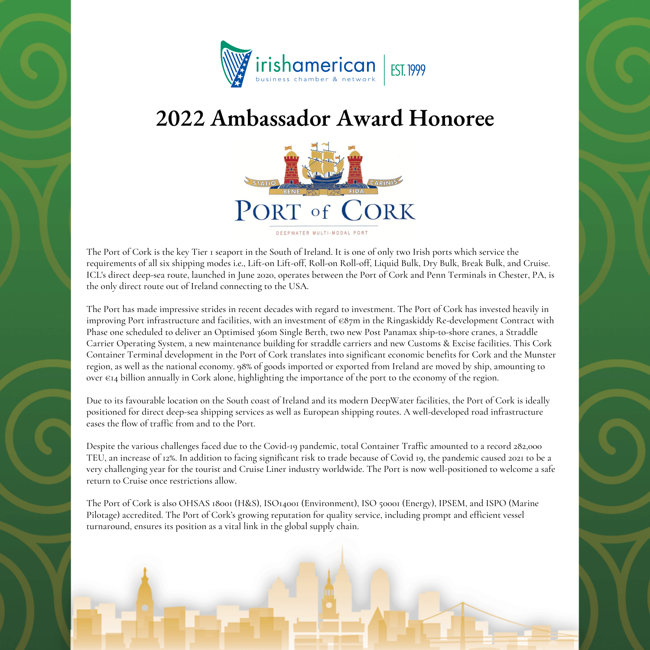

## **2022 Ambassador Award Honoree**



The Port of Cork is the key Tier 1 seaport in the South of Ireland. It is one of only two Irish ports which service the requirements of all six shipping modes i.e., Lift-on Lift-off, Roll-on Roll-off, Liquid Bulk, Dry Bulk, Break Bulk, and Cruise. ICL's direct deep-sea route, launched in June 2020, operates between the Port of Cork and Penn Terminals in Chester, PA, is the only direct route out of Ireland connecting to the USA.

The Port has made impressive strides in recent decades with regard to investment. The Port of Cork has invested heavily in improving Port infrastructure and facilities, with an investment of €87m in the Ringaskiddy Re-development Contract with Phase one scheduled to deliver an Optimised 360m Single Berth, two new Post Panamax ship-to-shore cranes, a Straddle Carrier Operating System, a new maintenance building for straddle carriers and new Customs & Excise facilities. This Cork Container Terminal development in the Port of Cork translates into significant economic benefits for Cork and the Munster region, as well as the national economy. 98% of goods imported or exported from Ireland are moved by ship, amounting to over €14 billion annually in Cork alone, highlighting the importance of the port to the economy of the region.

Due to its favourable location on the South coast of Ireland and its modern DeepWater facilities, the Port of Cork is ideally positioned for direct deep-sea shipping services as well as European shipping routes. A well-developed road infrastructure eases the flow of traffic from and to the Port.

Despite the various challenges faced due to the Covid-19 pandemic, total Container Traffic amounted to a record 282,000 TEU, an increase of 12%. In addition to facing significant risk to trade because of Covid 19, the pandemic caused 2021 to be a very challenging year for the tourist and Cruise Liner industry worldwide. The Port is now well-positioned to welcome a safe return to Cruise once restrictions allow.

The Port of Cork is also OHSAS 18001 (H&S), ISO14001 (Environment), ISO 50001 (Energy), IPSEM, and ISPO (Marine Pilotage) accredited. The Port of Cork's growing reputation for quality service, including prompt and efficient vessel turnaround, ensures its position as a vital link in the global supply chain.